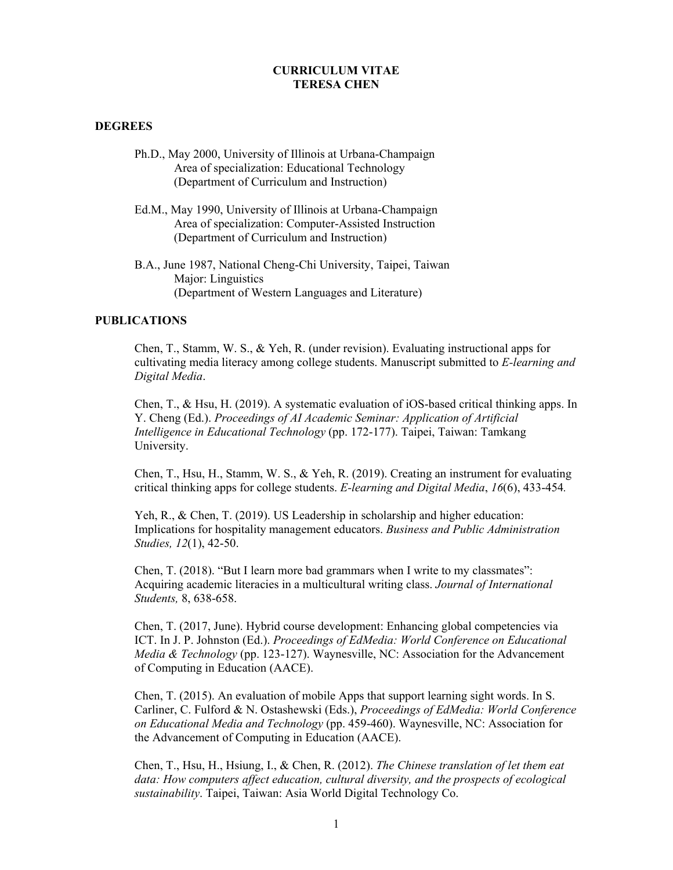### **CURRICULUM VITAE TERESA CHEN**

### **DEGREES**

- Ph.D., May 2000, University of Illinois at Urbana-Champaign Area of specialization: Educational Technology (Department of Curriculum and Instruction)
- Ed.M., May 1990, University of Illinois at Urbana-Champaign Area of specialization: Computer-Assisted Instruction (Department of Curriculum and Instruction)
- B.A., June 1987, National Cheng-Chi University, Taipei, Taiwan Major: Linguistics (Department of Western Languages and Literature)

### **PUBLICATIONS**

Chen, T., Stamm, W. S., & Yeh, R. (under revision). Evaluating instructional apps for cultivating media literacy among college students. Manuscript submitted to *E-learning and Digital Media*.

Chen, T., & Hsu, H. (2019). A systematic evaluation of iOS-based critical thinking apps. In Y. Cheng (Ed.). *Proceedings of AI Academic Seminar: Application of Artificial Intelligence in Educational Technology* (pp. 172-177). Taipei, Taiwan: Tamkang University.

Chen, T., Hsu, H., Stamm, W. S., & Yeh, R. (2019). Creating an instrument for evaluating critical thinking apps for college students. *E-learning and Digital Media*, *16*(6), 433-454*.*

Yeh, R., & Chen, T. (2019). US Leadership in scholarship and higher education: Implications for hospitality management educators. *Business and Public Administration Studies, 12*(1), 42-50.

Chen, T. (2018). "But I learn more bad grammars when I write to my classmates": Acquiring academic literacies in a multicultural writing class. *Journal of International Students,* 8, 638-658.

Chen, T. (2017, June). Hybrid course development: Enhancing global competencies via ICT. In J. P. Johnston (Ed.). *Proceedings of EdMedia: World Conference on Educational Media & Technology* (pp. 123-127). Waynesville, NC: Association for the Advancement of Computing in Education (AACE).

Chen, T. (2015). An evaluation of mobile Apps that support learning sight words. In S. Carliner, C. Fulford & N. Ostashewski (Eds.), *Proceedings of EdMedia: World Conference on Educational Media and Technology* (pp. 459-460). Waynesville, NC: Association for the Advancement of Computing in Education (AACE).

Chen, T., Hsu, H., Hsiung, I., & Chen, R. (2012). *The Chinese translation of let them eat data: How computers affect education, cultural diversity, and the prospects of ecological sustainability*. Taipei, Taiwan: Asia World Digital Technology Co.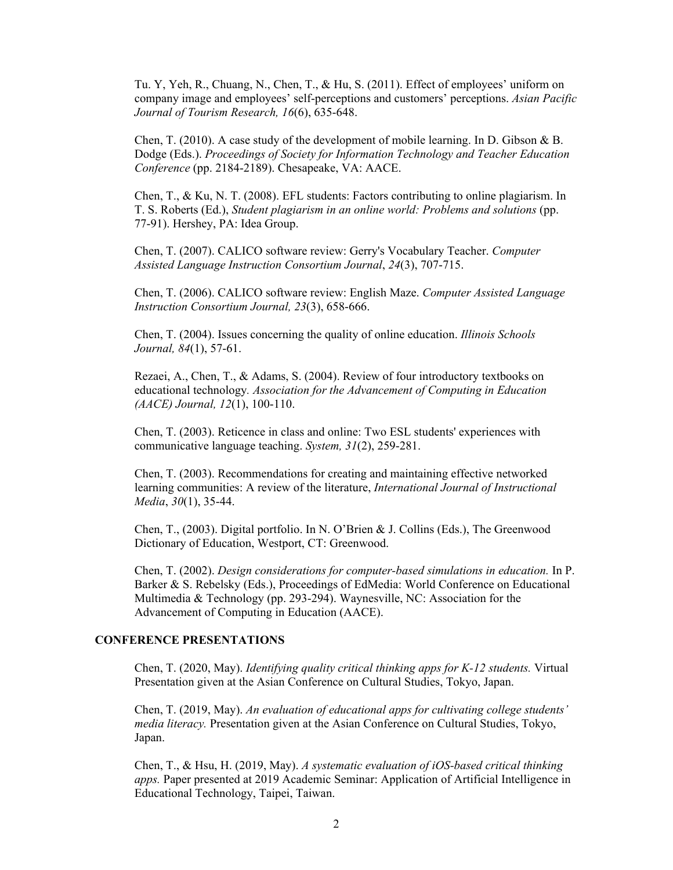Tu. Y, Yeh, R., Chuang, N., Chen, T., & Hu, S. (2011). Effect of employees' uniform on company image and employees' self-perceptions and customers' perceptions. *Asian Pacific Journal of Tourism Research, 16*(6), 635-648.

Chen, T. (2010). A case study of the development of mobile learning. In D. Gibson & B. Dodge (Eds.). *Proceedings of Society for Information Technology and Teacher Education Conference* (pp. 2184-2189). Chesapeake, VA: AACE.

Chen, T., & Ku, N. T. (2008). EFL students: Factors contributing to online plagiarism. In T. S. Roberts (Ed.), *Student plagiarism in an online world: Problems and solutions* (pp. 77-91). Hershey, PA: Idea Group.

Chen, T. (2007). CALICO software review: Gerry's Vocabulary Teacher. *Computer Assisted Language Instruction Consortium Journal*, *24*(3), 707-715.

Chen, T. (2006). CALICO software review: English Maze. *Computer Assisted Language Instruction Consortium Journal, 23*(3), 658-666.

Chen, T. (2004). Issues concerning the quality of online education. *Illinois Schools Journal, 84*(1), 57-61.

Rezaei, A., Chen, T., & Adams, S. (2004). Review of four introductory textbooks on educational technology*. Association for the Advancement of Computing in Education (AACE) Journal, 12*(1), 100-110.

Chen, T. (2003). Reticence in class and online: Two ESL students' experiences with communicative language teaching. *System, 31*(2), 259-281.

Chen, T. (2003). Recommendations for creating and maintaining effective networked learning communities: A review of the literature, *International Journal of Instructional Media*, *30*(1), 35-44.

Chen, T., (2003). Digital portfolio. In N. O'Brien & J. Collins (Eds.), The Greenwood Dictionary of Education, Westport, CT: Greenwood.

Chen, T. (2002). *Design considerations for computer-based simulations in education.* In P. Barker & S. Rebelsky (Eds.), Proceedings of EdMedia: World Conference on Educational Multimedia & Technology (pp. 293-294). Waynesville, NC: Association for the Advancement of Computing in Education (AACE).

### **CONFERENCE PRESENTATIONS**

Chen, T. (2020, May). *Identifying quality critical thinking apps for K-12 students.* Virtual Presentation given at the Asian Conference on Cultural Studies, Tokyo, Japan.

Chen, T. (2019, May). *An evaluation of educational apps for cultivating college students' media literacy.* Presentation given at the Asian Conference on Cultural Studies, Tokyo, Japan.

Chen, T., & Hsu, H. (2019, May). *A systematic evaluation of iOS-based critical thinking apps.* Paper presented at 2019 Academic Seminar: Application of Artificial Intelligence in Educational Technology, Taipei, Taiwan.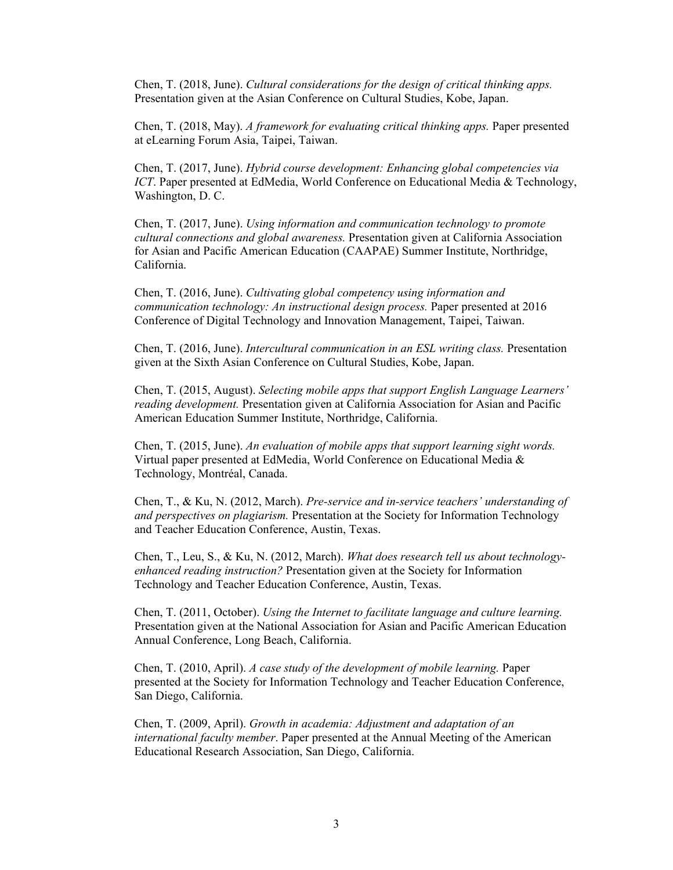Chen, T. (2018, June). *Cultural considerations for the design of critical thinking apps.* Presentation given at the Asian Conference on Cultural Studies, Kobe, Japan.

Chen, T. (2018, May). *A framework for evaluating critical thinking apps.* Paper presented at eLearning Forum Asia, Taipei, Taiwan.

Chen, T. (2017, June). *Hybrid course development: Enhancing global competencies via ICT*. Paper presented at EdMedia, World Conference on Educational Media & Technology, Washington, D. C.

Chen, T. (2017, June). *Using information and communication technology to promote cultural connections and global awareness.* Presentation given at California Association for Asian and Pacific American Education (CAAPAE) Summer Institute, Northridge, California.

Chen, T. (2016, June). *Cultivating global competency using information and communication technology: An instructional design process.* Paper presented at 2016 Conference of Digital Technology and Innovation Management, Taipei, Taiwan.

Chen, T. (2016, June). *Intercultural communication in an ESL writing class.* Presentation given at the Sixth Asian Conference on Cultural Studies, Kobe, Japan.

Chen, T. (2015, August). *Selecting mobile apps that support English Language Learners' reading development.* Presentation given at California Association for Asian and Pacific American Education Summer Institute, Northridge, California.

Chen, T. (2015, June). *An evaluation of mobile apps that support learning sight words.* Virtual paper presented at EdMedia, World Conference on Educational Media & Technology, Montréal, Canada.

Chen, T., & Ku, N. (2012, March). *Pre-service and in-service teachers' understanding of and perspectives on plagiarism.* Presentation at the Society for Information Technology and Teacher Education Conference, Austin, Texas.

Chen, T., Leu, S., & Ku, N. (2012, March). *What does research tell us about technologyenhanced reading instruction?* Presentation given at the Society for Information Technology and Teacher Education Conference, Austin, Texas.

Chen, T. (2011, October). *Using the Internet to facilitate language and culture learning.* Presentation given at the National Association for Asian and Pacific American Education Annual Conference, Long Beach, California.

Chen, T. (2010, April). *A case study of the development of mobile learning.* Paper presented at the Society for Information Technology and Teacher Education Conference, San Diego, California.

Chen, T. (2009, April). *Growth in academia: Adjustment and adaptation of an international faculty member*. Paper presented at the Annual Meeting of the American Educational Research Association, San Diego, California.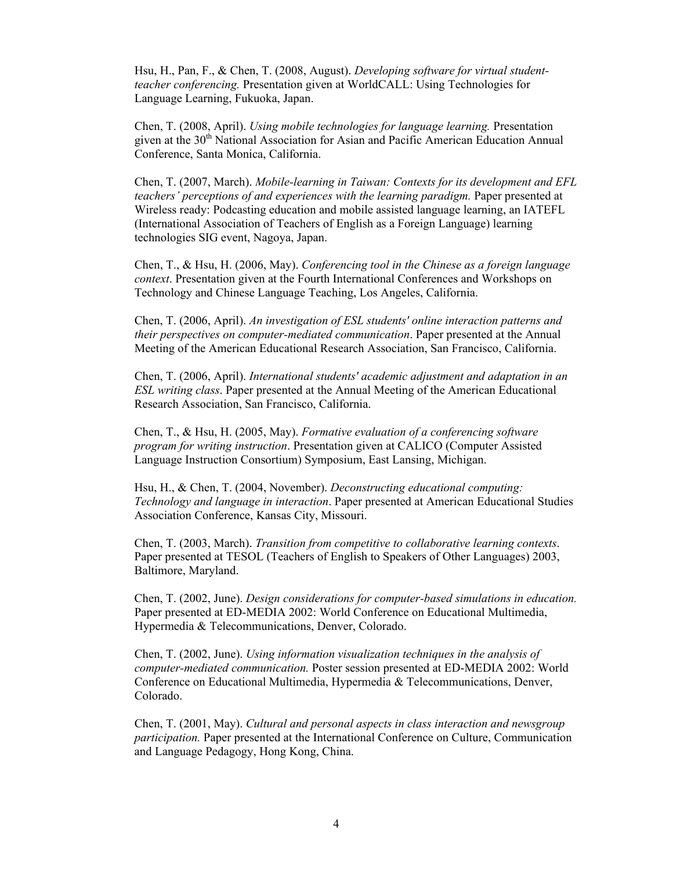Hsu, H., Pan, F., & Chen, T. (2008, August). *Developing software for virtual studentteacher conferencing.* Presentation given at WorldCALL: Using Technologies for Language Learning, Fukuoka, Japan.

Chen, T. (2008, April). *Using mobile technologies for language learning.* Presentation given at the 30<sup>th</sup> National Association for Asian and Pacific American Education Annual Conference, Santa Monica, California.

Chen, T. (2007, March). *Mobile-learning in Taiwan: Contexts for its development and EFL teachers' perceptions of and experiences with the learning paradigm.* Paper presented at Wireless ready: Podcasting education and mobile assisted language learning, an IATEFL (International Association of Teachers of English as a Foreign Language) learning technologies SIG event, Nagoya, Japan.

Chen, T., & Hsu, H. (2006, May). *Conferencing tool in the Chinese as a foreign language context*. Presentation given at the Fourth International Conferences and Workshops on Technology and Chinese Language Teaching, Los Angeles, California.

Chen, T. (2006, April). *An investigation of ESL students' online interaction patterns and their perspectives on computer-mediated communication*. Paper presented at the Annual Meeting of the American Educational Research Association, San Francisco, California.

Chen, T. (2006, April). *International students' academic adjustment and adaptation in an ESL writing class*. Paper presented at the Annual Meeting of the American Educational Research Association, San Francisco, California.

Chen, T., & Hsu, H. (2005, May). *Formative evaluation of a conferencing software program for writing instruction*. Presentation given at CALICO (Computer Assisted Language Instruction Consortium) Symposium, East Lansing, Michigan.

Hsu, H., & Chen, T. (2004, November). *Deconstructing educational computing: Technology and language in interaction*. Paper presented at American Educational Studies Association Conference, Kansas City, Missouri.

Chen, T. (2003, March). *Transition from competitive to collaborative learning contexts*. Paper presented at TESOL (Teachers of English to Speakers of Other Languages) 2003, Baltimore, Maryland.

Chen, T. (2002, June). *Design considerations for computer-based simulations in education.* Paper presented at ED-MEDIA 2002: World Conference on Educational Multimedia, Hypermedia & Telecommunications, Denver, Colorado.

Chen, T. (2002, June). *Using information visualization techniques in the analysis of computer-mediated communication.* Poster session presented at ED-MEDIA 2002: World Conference on Educational Multimedia, Hypermedia & Telecommunications, Denver, Colorado.

Chen, T. (2001, May). *Cultural and personal aspects in class interaction and newsgroup participation.* Paper presented at the International Conference on Culture, Communication and Language Pedagogy, Hong Kong, China.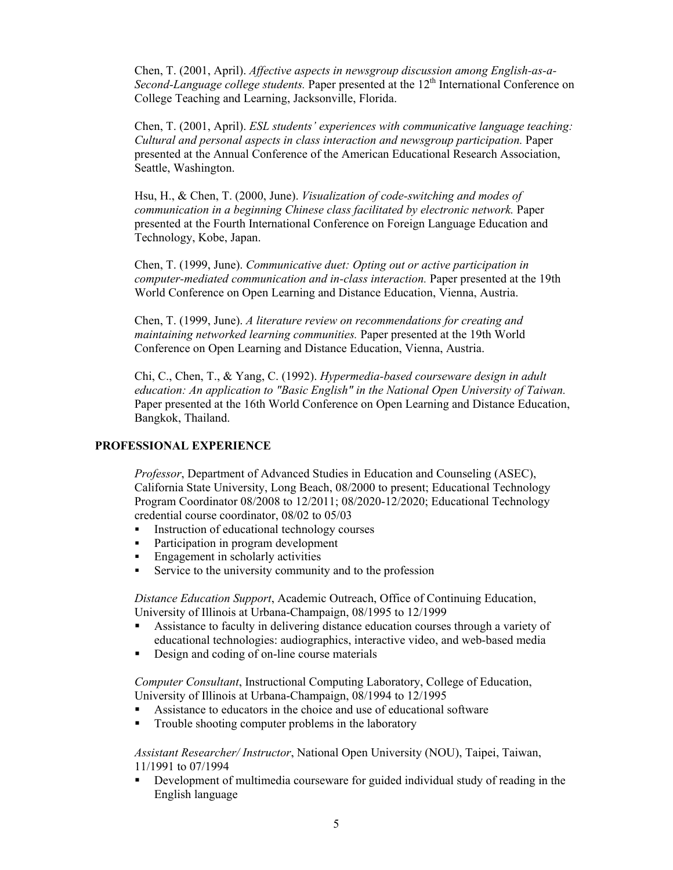Chen, T. (2001, April). *Affective aspects in newsgroup discussion among English-as-a-*Second-Language college students. Paper presented at the 12<sup>th</sup> International Conference on College Teaching and Learning, Jacksonville, Florida.

Chen, T. (2001, April). *ESL students' experiences with communicative language teaching: Cultural and personal aspects in class interaction and newsgroup participation.* Paper presented at the Annual Conference of the American Educational Research Association, Seattle, Washington.

Hsu, H., & Chen, T. (2000, June). *Visualization of code-switching and modes of communication in a beginning Chinese class facilitated by electronic network.* Paper presented at the Fourth International Conference on Foreign Language Education and Technology, Kobe, Japan.

Chen, T. (1999, June). *Communicative duet: Opting out or active participation in computer-mediated communication and in-class interaction.* Paper presented at the 19th World Conference on Open Learning and Distance Education, Vienna, Austria.

Chen, T. (1999, June). *A literature review on recommendations for creating and maintaining networked learning communities.* Paper presented at the 19th World Conference on Open Learning and Distance Education, Vienna, Austria.

Chi, C., Chen, T., & Yang, C. (1992). *Hypermedia-based courseware design in adult education: An application to "Basic English" in the National Open University of Taiwan.* Paper presented at the 16th World Conference on Open Learning and Distance Education, Bangkok, Thailand.

### **PROFESSIONAL EXPERIENCE**

*Professor*, Department of Advanced Studies in Education and Counseling (ASEC), California State University, Long Beach, 08/2000 to present; Educational Technology Program Coordinator 08/2008 to 12/2011; 08/2020-12/2020; Educational Technology credential course coordinator, 08/02 to 05/03

- Instruction of educational technology courses
- Participation in program development
- Engagement in scholarly activities
- Service to the university community and to the profession

*Distance Education Support*, Academic Outreach, Office of Continuing Education, University of Illinois at Urbana-Champaign, 08/1995 to 12/1999

- Assistance to faculty in delivering distance education courses through a variety of educational technologies: audiographics, interactive video, and web-based media
- Design and coding of on-line course materials

*Computer Consultant*, Instructional Computing Laboratory, College of Education, University of Illinois at Urbana-Champaign, 08/1994 to 12/1995

- Assistance to educators in the choice and use of educational software
- **Trouble shooting computer problems in the laboratory**

*Assistant Researcher/ Instructor*, National Open University (NOU), Taipei, Taiwan, 11/1991 to 07/1994

 Development of multimedia courseware for guided individual study of reading in the English language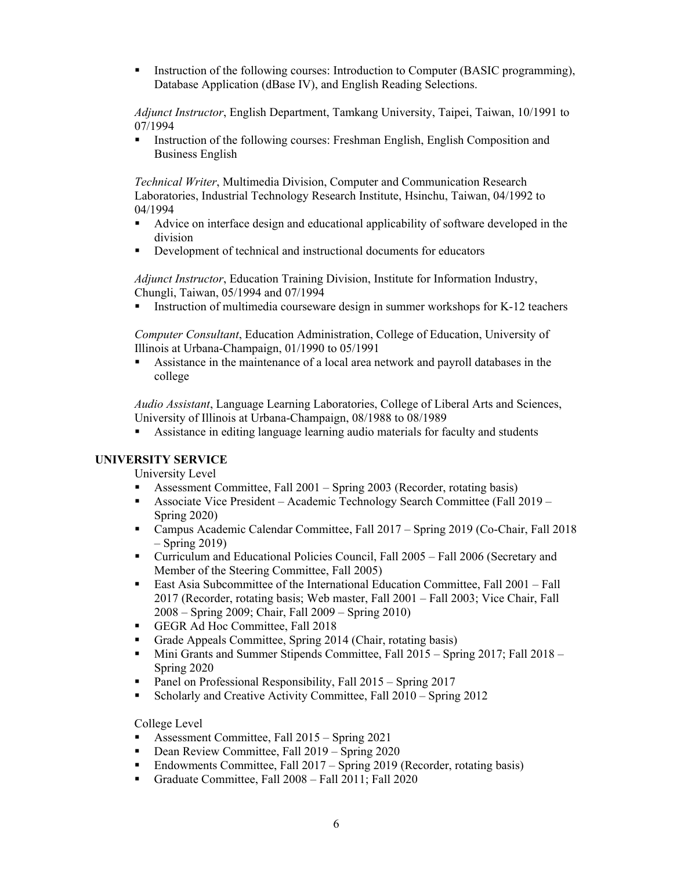Instruction of the following courses: Introduction to Computer (BASIC programming), Database Application (dBase IV), and English Reading Selections.

*Adjunct Instructor*, English Department, Tamkang University, Taipei, Taiwan, 10/1991 to 07/1994

Instruction of the following courses: Freshman English, English Composition and Business English

*Technical Writer*, Multimedia Division, Computer and Communication Research Laboratories, Industrial Technology Research Institute, Hsinchu, Taiwan, 04/1992 to 04/1994

- Advice on interface design and educational applicability of software developed in the division
- Development of technical and instructional documents for educators

*Adjunct Instructor*, Education Training Division, Institute for Information Industry, Chungli, Taiwan, 05/1994 and 07/1994

Instruction of multimedia courseware design in summer workshops for K-12 teachers

*Computer Consultant*, Education Administration, College of Education, University of Illinois at Urbana-Champaign, 01/1990 to 05/1991

 Assistance in the maintenance of a local area network and payroll databases in the college

*Audio Assistant*, Language Learning Laboratories, College of Liberal Arts and Sciences, University of Illinois at Urbana-Champaign, 08/1988 to 08/1989

Assistance in editing language learning audio materials for faculty and students

## **UNIVERSITY SERVICE**

University Level

- Assessment Committee, Fall 2001 Spring 2003 (Recorder, rotating basis)
- **Associate Vice President** Academic Technology Search Committee (Fall  $2019 -$ Spring 2020)
- Campus Academic Calendar Committee, Fall 2017 Spring 2019 (Co-Chair, Fall 2018 – Spring 2019)
- Curriculum and Educational Policies Council, Fall 2005 Fall 2006 (Secretary and Member of the Steering Committee, Fall 2005)
- East Asia Subcommittee of the International Education Committee, Fall 2001 Fall 2017 (Recorder, rotating basis; Web master, Fall 2001 – Fall 2003; Vice Chair, Fall 2008 – Spring 2009; Chair, Fall 2009 – Spring 2010)
- GEGR Ad Hoc Committee, Fall 2018
- Grade Appeals Committee, Spring 2014 (Chair, rotating basis)
- Mini Grants and Summer Stipends Committee, Fall 2015 Spring 2017; Fall 2018 Spring 2020
- Panel on Professional Responsibility, Fall 2015 Spring 2017
- Scholarly and Creative Activity Committee, Fall 2010 Spring 2012

College Level

- Assessment Committee, Fall 2015 Spring 2021
- Dean Review Committee, Fall 2019 Spring 2020
- Endowments Committee, Fall 2017 Spring 2019 (Recorder, rotating basis)
- Graduate Committee, Fall 2008 Fall 2011; Fall 2020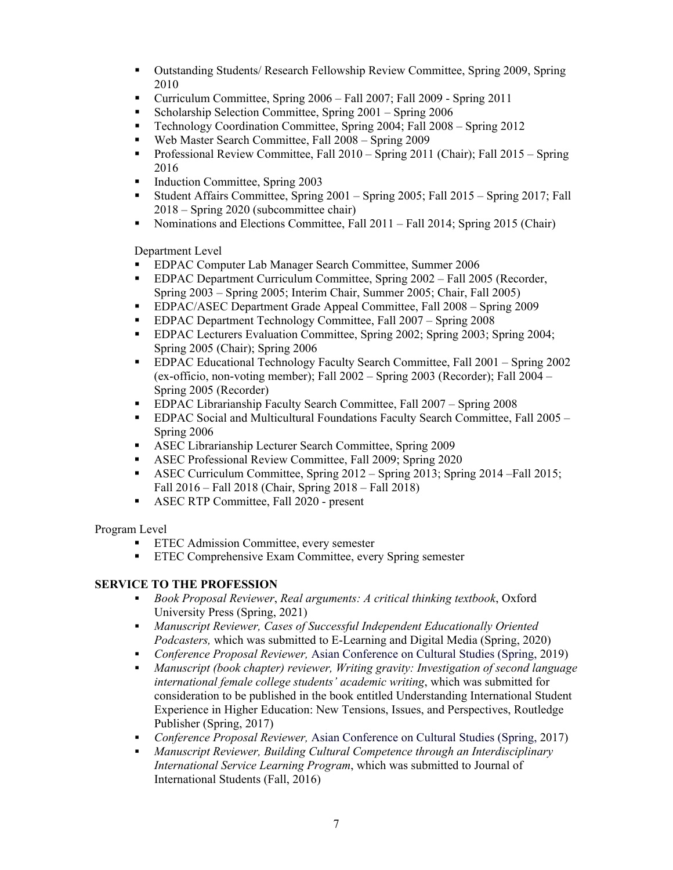- Outstanding Students/ Research Fellowship Review Committee, Spring 2009, Spring 2010
- Curriculum Committee, Spring 2006 Fall 2007; Fall 2009 Spring 2011
- Scholarship Selection Committee, Spring 2001 Spring 2006
- **Technology Coordination Committee, Spring 2004; Fall 2008 Spring 2012**
- Web Master Search Committee, Fall 2008 Spring 2009
- Professional Review Committee, Fall  $2010 -$  Spring  $2011$  (Chair); Fall  $2015 -$  Spring 2016
- Induction Committee, Spring 2003
- Student Affairs Committee, Spring 2001 Spring 2005; Fall 2015 Spring 2017; Fall 2018 – Spring 2020 (subcommittee chair)
- Nominations and Elections Committee, Fall 2011 Fall 2014; Spring 2015 (Chair)

Department Level

- EDPAC Computer Lab Manager Search Committee, Summer 2006
- EDPAC Department Curriculum Committee, Spring 2002 Fall 2005 (Recorder, Spring 2003 – Spring 2005; Interim Chair, Summer 2005; Chair, Fall 2005)
- EDPAC/ASEC Department Grade Appeal Committee, Fall 2008 Spring 2009
- **EDPAC Department Technology Committee, Fall 2007 Spring 2008**
- EDPAC Lecturers Evaluation Committee, Spring 2002; Spring 2003; Spring 2004; Spring 2005 (Chair); Spring 2006
- **EDPAC Educational Technology Faculty Search Committee, Fall 2001 Spring 2002** (ex-officio, non-voting member); Fall 2002 – Spring 2003 (Recorder); Fall 2004 – Spring 2005 (Recorder)
- **EDPAC Librarianship Faculty Search Committee, Fall 2007 Spring 2008**
- EDPAC Social and Multicultural Foundations Faculty Search Committee, Fall 2005 Spring 2006
- ASEC Librarianship Lecturer Search Committee, Spring 2009
- ASEC Professional Review Committee, Fall 2009; Spring 2020
- ASEC Curriculum Committee, Spring 2012 Spring 2013; Spring 2014 –Fall 2015; Fall 2016 – Fall 2018 (Chair, Spring 2018 – Fall 2018)
- ASEC RTP Committee, Fall 2020 present

Program Level

- ETEC Admission Committee, every semester
- ETEC Comprehensive Exam Committee, every Spring semester

# **SERVICE TO THE PROFESSION**

- *Book Proposal Reviewer*, *Real arguments: A critical thinking textbook*, Oxford University Press (Spring, 2021)
- *Manuscript Reviewer, Cases of Successful Independent Educationally Oriented Podcasters, which was submitted to E-Learning and Digital Media (Spring, 2020)*
- *Conference Proposal Reviewer,* Asian Conference on Cultural Studies (Spring, 2019)
- *Manuscript (book chapter) reviewer, Writing gravity: Investigation of second language international female college students' academic writing*, which was submitted for consideration to be published in the book entitled Understanding International Student Experience in Higher Education: New Tensions, Issues, and Perspectives, Routledge Publisher (Spring, 2017)
- *Conference Proposal Reviewer,* Asian Conference on Cultural Studies (Spring, 2017)
- *Manuscript Reviewer, Building Cultural Competence through an Interdisciplinary International Service Learning Program*, which was submitted to Journal of International Students (Fall, 2016)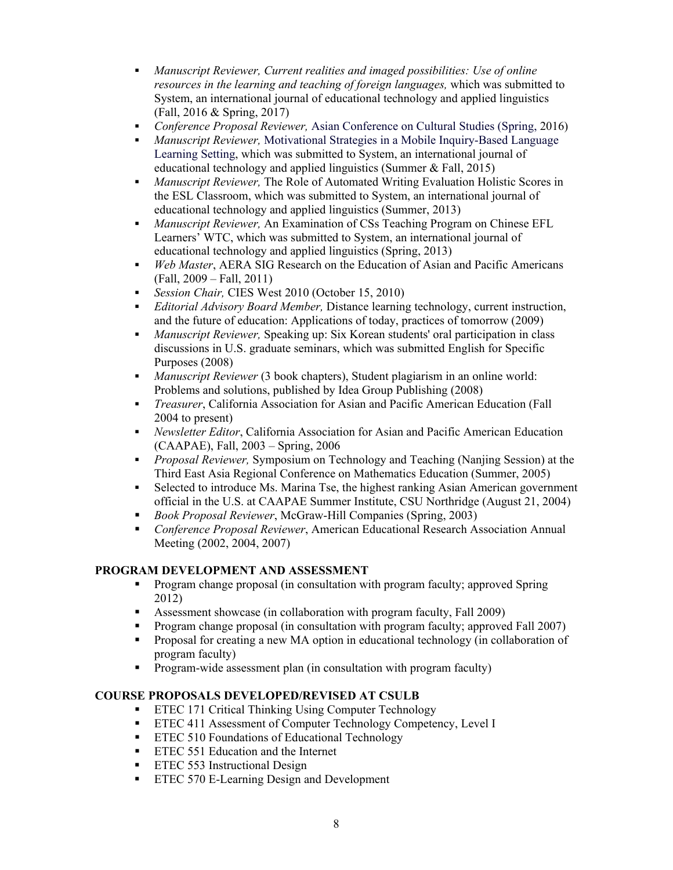- *Manuscript Reviewer, Current realities and imaged possibilities: Use of online resources in the learning and teaching of foreign languages,* which was submitted to System, an international journal of educational technology and applied linguistics (Fall, 2016 & Spring, 2017)
- *Conference Proposal Reviewer,* Asian Conference on Cultural Studies (Spring, 2016)
- *Manuscript Reviewer,* Motivational Strategies in a Mobile Inquiry-Based Language Learning Setting, which was submitted to System, an international journal of educational technology and applied linguistics (Summer & Fall, 2015)
- *Manuscript Reviewer,* The Role of Automated Writing Evaluation Holistic Scores in the ESL Classroom, which was submitted to System, an international journal of educational technology and applied linguistics (Summer, 2013)
- *Manuscript Reviewer,* An Examination of CSs Teaching Program on Chinese EFL Learners' WTC, which was submitted to System, an international journal of educational technology and applied linguistics (Spring, 2013)
- *Web Master*, AERA SIG Research on the Education of Asian and Pacific Americans (Fall, 2009 – Fall, 2011)
- *Session Chair,* CIES West 2010 (October 15, 2010)
- *Editorial Advisory Board Member,* Distance learning technology, current instruction, and the future of education: Applications of today, practices of tomorrow (2009)
- *Manuscript Reviewer,* Speaking up: Six Korean students' oral participation in class discussions in U.S. graduate seminars, which was submitted English for Specific Purposes (2008)
- *Manuscript Reviewer* (3 book chapters), Student plagiarism in an online world: Problems and solutions, published by Idea Group Publishing (2008)
- *Treasurer*, California Association for Asian and Pacific American Education (Fall 2004 to present)
- *Newsletter Editor*, California Association for Asian and Pacific American Education (CAAPAE), Fall, 2003 – Spring, 2006
- *Proposal Reviewer,* Symposium on Technology and Teaching (Nanjing Session) at the Third East Asia Regional Conference on Mathematics Education (Summer, 2005)
- Selected to introduce Ms. Marina Tse, the highest ranking Asian American government official in the U.S. at CAAPAE Summer Institute, CSU Northridge (August 21, 2004)
- *Book Proposal Reviewer*, McGraw-Hill Companies (Spring, 2003)
- *Conference Proposal Reviewer*, American Educational Research Association Annual Meeting (2002, 2004, 2007)

## **PROGRAM DEVELOPMENT AND ASSESSMENT**

- **Program change proposal (in consultation with program faculty; approved Spring** 2012)
- Assessment showcase (in collaboration with program faculty, Fall 2009)
- Program change proposal (in consultation with program faculty; approved Fall 2007)
- Proposal for creating a new MA option in educational technology (in collaboration of program faculty)
- Program-wide assessment plan (in consultation with program faculty)

## **COURSE PROPOSALS DEVELOPED/REVISED AT CSULB**

- **ETEC 171 Critical Thinking Using Computer Technology**
- **ETEC 411 Assessment of Computer Technology Competency, Level I**
- **ETEC 510 Foundations of Educational Technology**
- **ETEC 551 Education and the Internet**
- **ETEC 553 Instructional Design**
- **ETEC 570 E-Learning Design and Development**